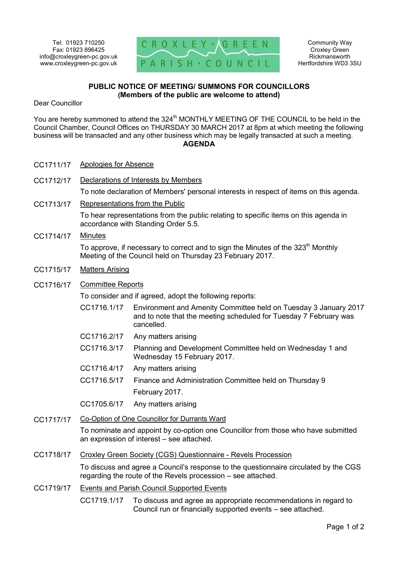

## **PUBLIC NOTICE OF MEETING/ SUMMONS FOR COUNCILLORS (Members of the public are welcome to attend)**

Dear Councillor

You are hereby summoned to attend the 324<sup>th</sup> MONTHLY MEETING OF THE COUNCIL to be held in the Council Chamber, Council Offices on THURSDAY 30 MARCH 2017 at 8pm at which meeting the following business will be transacted and any other business which may be legally transacted at such a meeting. **AGENDA** 

- CC1711/17 Apologies for Absence
- CC1712/17 Declarations of Interests by Members

To note declaration of Members' personal interests in respect of items on this agenda.

CC1713/17 Representations from the Public

To hear representations from the public relating to specific items on this agenda in accordance with Standing Order 5.5.

CC1714/17 Minutes

To approve, if necessary to correct and to sign the Minutes of the 323<sup>th</sup> Monthly Meeting of the Council held on Thursday 23 February 2017.

- CC1715/17 Matters Arising
- CC1716/17 Committee Reports

To consider and if agreed, adopt the following reports:

- CC1716.1/17 Environment and Amenity Committee held on Tuesday 3 January 2017 and to note that the meeting scheduled for Tuesday 7 February was cancelled.
- CC1716.2/17 Any matters arising
- CC1716.3/17 Planning and Development Committee held on Wednesday 1 and Wednesday 15 February 2017.
- CC1716.4/17 Any matters arising
- CC1716.5/17 Finance and Administration Committee held on Thursday 9 February 2017.
- CC1705.6/17 Any matters arising
- CC1717/17 Co-Option of One Councillor for Durrants Ward

To nominate and appoint by co-option one Councillor from those who have submitted an expression of interest – see attached.

CC1718/17 Croxley Green Society (CGS) Questionnaire - Revels Procession

To discuss and agree a Council's response to the questionnaire circulated by the CGS regarding the route of the Revels procession – see attached.

CC1719/17 Events and Parish Council Supported Events

CC1719.1/17 To discuss and agree as appropriate recommendations in regard to Council run or financially supported events – see attached.